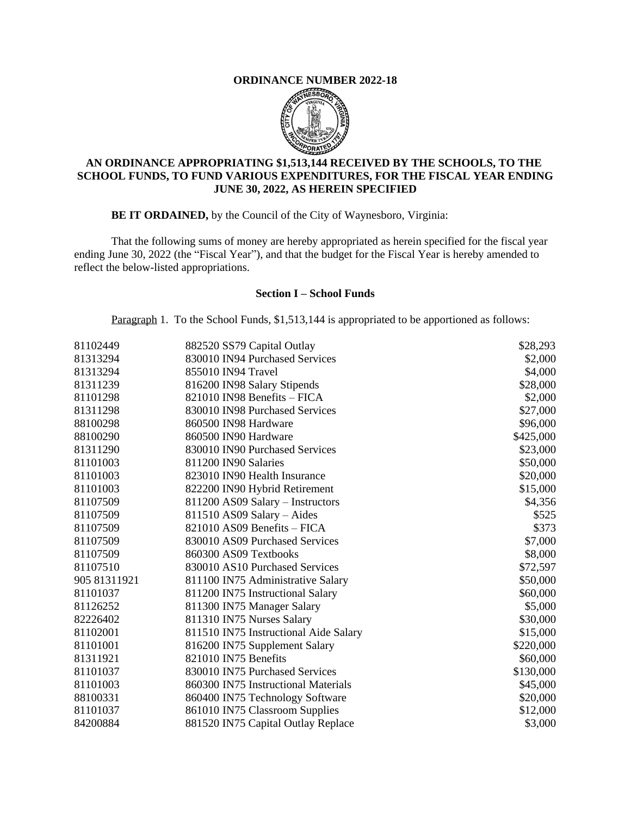## **ORDINANCE NUMBER 2022-18**



## **AN ORDINANCE APPROPRIATING \$1,513,144 RECEIVED BY THE SCHOOLS, TO THE SCHOOL FUNDS, TO FUND VARIOUS EXPENDITURES, FOR THE FISCAL YEAR ENDING JUNE 30, 2022, AS HEREIN SPECIFIED**

**BE IT ORDAINED,** by the Council of the City of Waynesboro, Virginia:

That the following sums of money are hereby appropriated as herein specified for the fiscal year ending June 30, 2022 (the "Fiscal Year"), and that the budget for the Fiscal Year is hereby amended to reflect the below-listed appropriations.

## **Section I – School Funds**

Paragraph 1. To the School Funds, \$1,513,144 is appropriated to be apportioned as follows:

| 81102449     | 882520 SS79 Capital Outlay            | \$28,293  |
|--------------|---------------------------------------|-----------|
| 81313294     | 830010 IN94 Purchased Services        | \$2,000   |
| 81313294     | 855010 IN94 Travel                    | \$4,000   |
| 81311239     | 816200 IN98 Salary Stipends           | \$28,000  |
| 81101298     | 821010 IN98 Benefits - FICA           | \$2,000   |
| 81311298     | 830010 IN98 Purchased Services        | \$27,000  |
| 88100298     | 860500 IN98 Hardware                  | \$96,000  |
| 88100290     | 860500 IN90 Hardware                  | \$425,000 |
| 81311290     | 830010 IN90 Purchased Services        | \$23,000  |
| 81101003     | 811200 IN90 Salaries                  | \$50,000  |
| 81101003     | 823010 IN90 Health Insurance          | \$20,000  |
| 81101003     | 822200 IN90 Hybrid Retirement         | \$15,000  |
| 81107509     | 811200 AS09 Salary - Instructors      | \$4,356   |
| 81107509     | 811510 AS09 Salary - Aides            | \$525     |
| 81107509     | 821010 AS09 Benefits - FICA           | \$373     |
| 81107509     | 830010 AS09 Purchased Services        | \$7,000   |
| 81107509     | 860300 AS09 Textbooks                 | \$8,000   |
| 81107510     | 830010 AS10 Purchased Services        | \$72,597  |
| 905 81311921 | 811100 IN75 Administrative Salary     | \$50,000  |
| 81101037     | 811200 IN75 Instructional Salary      | \$60,000  |
| 81126252     | 811300 IN75 Manager Salary            | \$5,000   |
| 82226402     | 811310 IN75 Nurses Salary             | \$30,000  |
| 81102001     | 811510 IN75 Instructional Aide Salary | \$15,000  |
| 81101001     | 816200 IN75 Supplement Salary         | \$220,000 |
| 81311921     | 821010 IN75 Benefits                  | \$60,000  |
| 81101037     | 830010 IN75 Purchased Services        | \$130,000 |
| 81101003     | 860300 IN75 Instructional Materials   | \$45,000  |
| 88100331     | 860400 IN75 Technology Software       | \$20,000  |
| 81101037     | 861010 IN75 Classroom Supplies        | \$12,000  |
| 84200884     | 881520 IN75 Capital Outlay Replace    | \$3,000   |